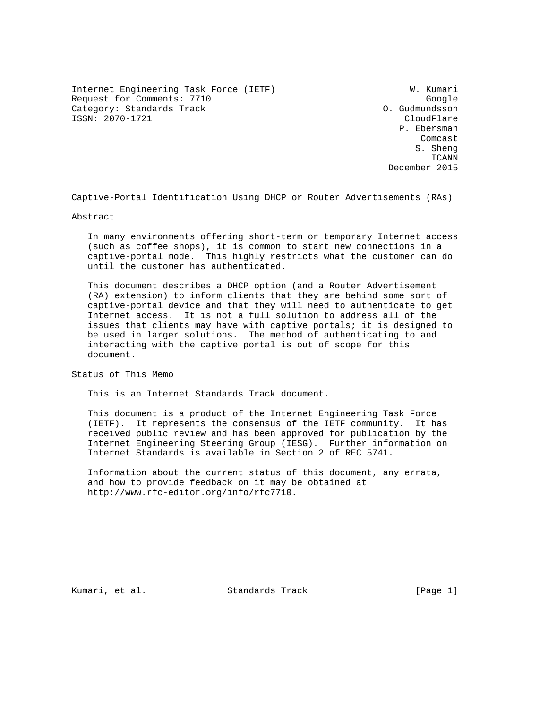Internet Engineering Task Force (IETF) W. Kumari Request for Comments: 7710<br>Category: Standards Track Google (Category: Standards Track Category: Standards Track ISSN: 2070-1721 CloudFlare

 P. Ebersman **Comcast** Comcast Company of the Company of the Company of the Company of the Company of the Company of the Company of the Company of the Company of the Company of the Company of the Company of the Company of the Company o S. Sheng ICANN December 2015

Captive-Portal Identification Using DHCP or Router Advertisements (RAs)

Abstract

 In many environments offering short-term or temporary Internet access (such as coffee shops), it is common to start new connections in a captive-portal mode. This highly restricts what the customer can do until the customer has authenticated.

 This document describes a DHCP option (and a Router Advertisement (RA) extension) to inform clients that they are behind some sort of captive-portal device and that they will need to authenticate to get Internet access. It is not a full solution to address all of the issues that clients may have with captive portals; it is designed to be used in larger solutions. The method of authenticating to and interacting with the captive portal is out of scope for this document.

Status of This Memo

This is an Internet Standards Track document.

 This document is a product of the Internet Engineering Task Force (IETF). It represents the consensus of the IETF community. It has received public review and has been approved for publication by the Internet Engineering Steering Group (IESG). Further information on Internet Standards is available in Section 2 of RFC 5741.

 Information about the current status of this document, any errata, and how to provide feedback on it may be obtained at http://www.rfc-editor.org/info/rfc7710.

Kumari, et al. Standards Track [Page 1]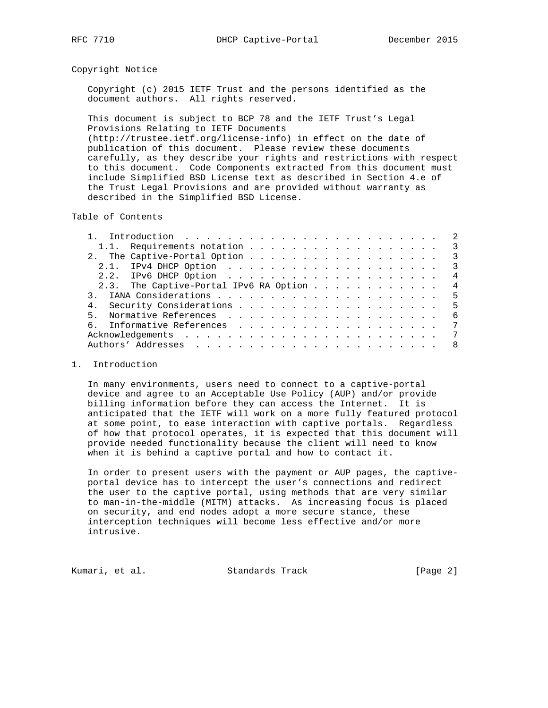## Copyright Notice

 Copyright (c) 2015 IETF Trust and the persons identified as the document authors. All rights reserved.

 This document is subject to BCP 78 and the IETF Trust's Legal Provisions Relating to IETF Documents (http://trustee.ietf.org/license-info) in effect on the date of publication of this document. Please review these documents carefully, as they describe your rights and restrictions with respect to this document. Code Components extracted from this document must include Simplified BSD License text as described in Section 4.e of the Trust Legal Provisions and are provided without warranty as described in the Simplified BSD License.

Table of Contents

| 1.1. Requirements notation 3             |                           |
|------------------------------------------|---------------------------|
|                                          | $\overline{\phantom{a}3}$ |
|                                          | $\overline{\mathbf{3}}$   |
|                                          | $\overline{4}$            |
| 2.3. The Captive-Portal IPv6 RA Option 4 |                           |
|                                          |                           |
|                                          |                           |
| 5.                                       | - 6                       |
|                                          | 7                         |
|                                          | 7                         |
|                                          | - 8                       |
|                                          |                           |

### 1. Introduction

 In many environments, users need to connect to a captive-portal device and agree to an Acceptable Use Policy (AUP) and/or provide billing information before they can access the Internet. It is anticipated that the IETF will work on a more fully featured protocol at some point, to ease interaction with captive portals. Regardless of how that protocol operates, it is expected that this document will provide needed functionality because the client will need to know when it is behind a captive portal and how to contact it.

 In order to present users with the payment or AUP pages, the captive portal device has to intercept the user's connections and redirect the user to the captive portal, using methods that are very similar to man-in-the-middle (MITM) attacks. As increasing focus is placed on security, and end nodes adopt a more secure stance, these interception techniques will become less effective and/or more intrusive.

Kumari, et al. Standards Track [Page 2]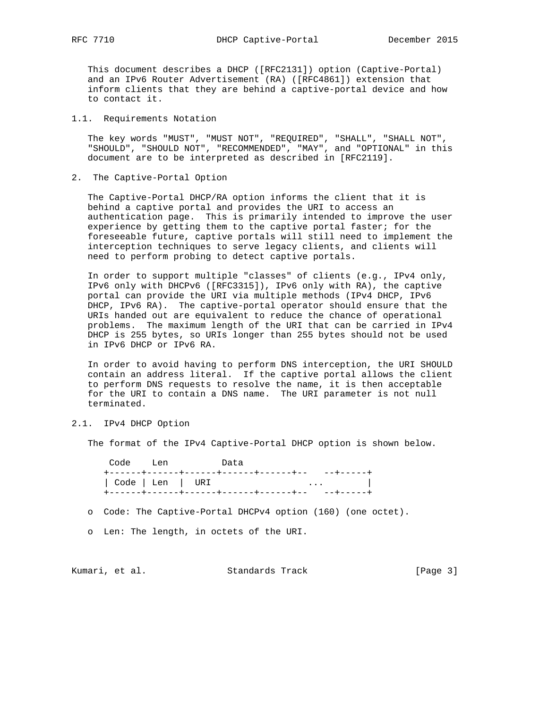This document describes a DHCP ([RFC2131]) option (Captive-Portal) and an IPv6 Router Advertisement (RA) ([RFC4861]) extension that inform clients that they are behind a captive-portal device and how to contact it.

### 1.1. Requirements Notation

 The key words "MUST", "MUST NOT", "REQUIRED", "SHALL", "SHALL NOT", "SHOULD", "SHOULD NOT", "RECOMMENDED", "MAY", and "OPTIONAL" in this document are to be interpreted as described in [RFC2119].

#### 2. The Captive-Portal Option

 The Captive-Portal DHCP/RA option informs the client that it is behind a captive portal and provides the URI to access an authentication page. This is primarily intended to improve the user experience by getting them to the captive portal faster; for the foreseeable future, captive portals will still need to implement the interception techniques to serve legacy clients, and clients will need to perform probing to detect captive portals.

 In order to support multiple "classes" of clients (e.g., IPv4 only, IPv6 only with DHCPv6 ([RFC3315]), IPv6 only with RA), the captive portal can provide the URI via multiple methods (IPv4 DHCP, IPv6 DHCP, IPv6 RA). The captive-portal operator should ensure that the URIs handed out are equivalent to reduce the chance of operational problems. The maximum length of the URI that can be carried in IPv4 DHCP is 255 bytes, so URIs longer than 255 bytes should not be used in IPv6 DHCP or IPv6 RA.

 In order to avoid having to perform DNS interception, the URI SHOULD contain an address literal. If the captive portal allows the client to perform DNS requests to resolve the name, it is then acceptable for the URI to contain a DNS name. The URI parameter is not null terminated.

# 2.1. IPv4 DHCP Option

The format of the IPv4 Captive-Portal DHCP option is shown below.

 Code Len Data +------+------+------+------+------+-- --+-----+ | Code | Len | URI ... | +------+------+------+------+------+-- --+-----+

o Code: The Captive-Portal DHCPv4 option (160) (one octet).

o Len: The length, in octets of the URI.

Kumari, et al. Standards Track [Page 3]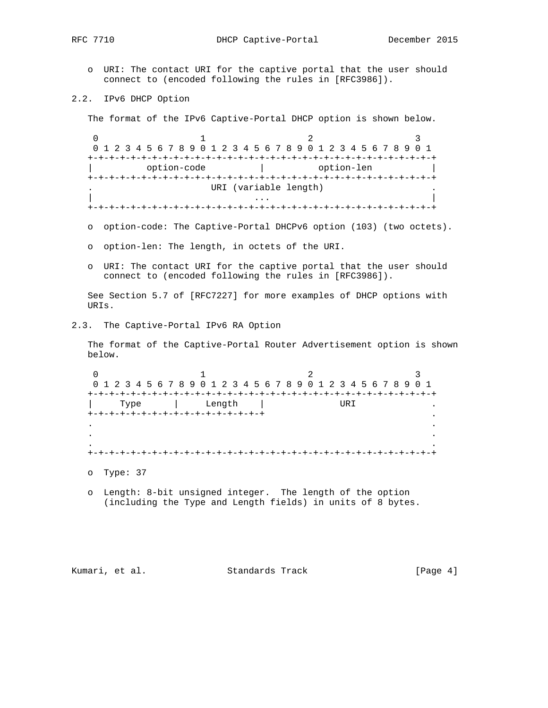o URI: The contact URI for the captive portal that the user should connect to (encoded following the rules in [RFC3986]).

2.2. IPv6 DHCP Option

The format of the IPv6 Captive-Portal DHCP option is shown below.

0  $1$  2 3 0 1 2 3 4 5 6 7 8 9 0 1 2 3 4 5 6 7 8 9 0 1 2 3 4 5 6 7 8 9 0 1 +-+-+-+-+-+-+-+-+-+-+-+-+-+-+-+-+-+-+-+-+-+-+-+-+-+-+-+-+-+-+-+-+ option-code  $|$  option-len +-+-+-+-+-+-+-+-+-+-+-+-+-+-+-+-+-+-+-+-+-+-+-+-+-+-+-+-+-+-+-+-+ URI (variable length) | ... | ... | ... | ... | ... | ... | ... | ... | ... | ... | ... | ... | ... | ... | ... | ... | ... | ... | . +-+-+-+-+-+-+-+-+-+-+-+-+-+-+-+-+-+-+-+-+-+-+-+-+-+-+-+-+-+-+-+-+

- o option-code: The Captive-Portal DHCPv6 option (103) (two octets).
- o option-len: The length, in octets of the URI.
- o URI: The contact URI for the captive portal that the user should connect to (encoded following the rules in [RFC3986]).

 See Section 5.7 of [RFC7227] for more examples of DHCP options with URIs.

2.3. The Captive-Portal IPv6 RA Option

 The format of the Captive-Portal Router Advertisement option is shown below.

0  $1$  2 3 0 1 2 3 4 5 6 7 8 9 0 1 2 3 4 5 6 7 8 9 0 1 2 3 4 5 6 7 8 9 0 1 +-+-+-+-+-+-+-+-+-+-+-+-+-+-+-+-+-+-+-+-+-+-+-+-+-+-+-+-+-+-+-+-+ | Type | Length | URI +-+-+-+-+-+-+-+-+-+-+-+-+-+-+-+-+ . . . . . . . +-+-+-+-+-+-+-+-+-+-+-+-+-+-+-+-+-+-+-+-+-+-+-+-+-+-+-+-+-+-+-+-+ o Type: 37

 o Length: 8-bit unsigned integer. The length of the option (including the Type and Length fields) in units of 8 bytes.

Kumari, et al. Standards Track [Page 4]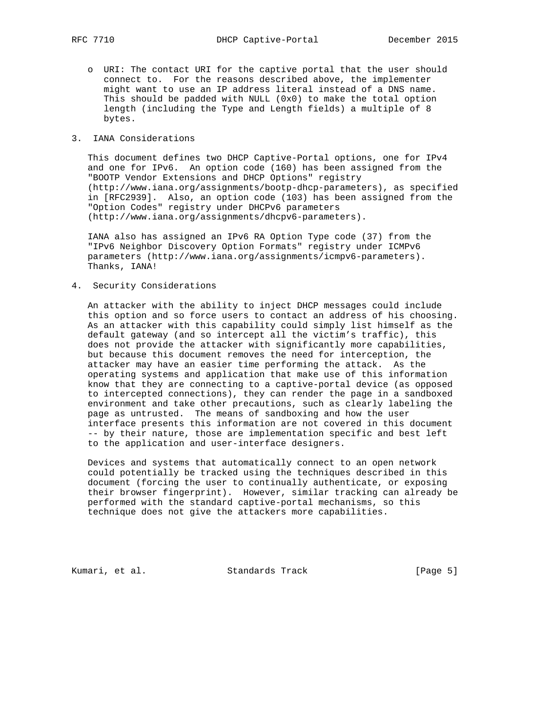o URI: The contact URI for the captive portal that the user should connect to. For the reasons described above, the implementer might want to use an IP address literal instead of a DNS name. This should be padded with NULL  $(0x0)$  to make the total option length (including the Type and Length fields) a multiple of 8 bytes.

#### 3. IANA Considerations

 This document defines two DHCP Captive-Portal options, one for IPv4 and one for IPv6. An option code (160) has been assigned from the "BOOTP Vendor Extensions and DHCP Options" registry (http://www.iana.org/assignments/bootp-dhcp-parameters), as specified in [RFC2939]. Also, an option code (103) has been assigned from the "Option Codes" registry under DHCPv6 parameters (http://www.iana.org/assignments/dhcpv6-parameters).

 IANA also has assigned an IPv6 RA Option Type code (37) from the "IPv6 Neighbor Discovery Option Formats" registry under ICMPv6 parameters (http://www.iana.org/assignments/icmpv6-parameters). Thanks, IANA!

4. Security Considerations

 An attacker with the ability to inject DHCP messages could include this option and so force users to contact an address of his choosing. As an attacker with this capability could simply list himself as the default gateway (and so intercept all the victim's traffic), this does not provide the attacker with significantly more capabilities, but because this document removes the need for interception, the attacker may have an easier time performing the attack. As the operating systems and application that make use of this information know that they are connecting to a captive-portal device (as opposed to intercepted connections), they can render the page in a sandboxed environment and take other precautions, such as clearly labeling the page as untrusted. The means of sandboxing and how the user interface presents this information are not covered in this document -- by their nature, those are implementation specific and best left to the application and user-interface designers.

 Devices and systems that automatically connect to an open network could potentially be tracked using the techniques described in this document (forcing the user to continually authenticate, or exposing their browser fingerprint). However, similar tracking can already be performed with the standard captive-portal mechanisms, so this technique does not give the attackers more capabilities.

Kumari, et al. Standards Track [Page 5]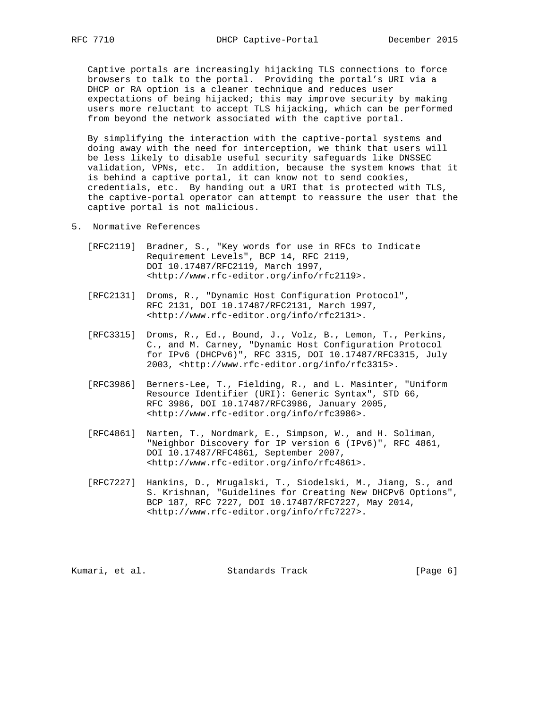Captive portals are increasingly hijacking TLS connections to force browsers to talk to the portal. Providing the portal's URI via a DHCP or RA option is a cleaner technique and reduces user expectations of being hijacked; this may improve security by making users more reluctant to accept TLS hijacking, which can be performed from beyond the network associated with the captive portal.

 By simplifying the interaction with the captive-portal systems and doing away with the need for interception, we think that users will be less likely to disable useful security safeguards like DNSSEC validation, VPNs, etc. In addition, because the system knows that it is behind a captive portal, it can know not to send cookies, credentials, etc. By handing out a URI that is protected with TLS, the captive-portal operator can attempt to reassure the user that the captive portal is not malicious.

- 5. Normative References
	- [RFC2119] Bradner, S., "Key words for use in RFCs to Indicate Requirement Levels", BCP 14, RFC 2119, DOI 10.17487/RFC2119, March 1997, <http://www.rfc-editor.org/info/rfc2119>.
	- [RFC2131] Droms, R., "Dynamic Host Configuration Protocol", RFC 2131, DOI 10.17487/RFC2131, March 1997, <http://www.rfc-editor.org/info/rfc2131>.
	- [RFC3315] Droms, R., Ed., Bound, J., Volz, B., Lemon, T., Perkins, C., and M. Carney, "Dynamic Host Configuration Protocol for IPv6 (DHCPv6)", RFC 3315, DOI 10.17487/RFC3315, July 2003, <http://www.rfc-editor.org/info/rfc3315>.
	- [RFC3986] Berners-Lee, T., Fielding, R., and L. Masinter, "Uniform Resource Identifier (URI): Generic Syntax", STD 66, RFC 3986, DOI 10.17487/RFC3986, January 2005, <http://www.rfc-editor.org/info/rfc3986>.
	- [RFC4861] Narten, T., Nordmark, E., Simpson, W., and H. Soliman, "Neighbor Discovery for IP version 6 (IPv6)", RFC 4861, DOI 10.17487/RFC4861, September 2007, <http://www.rfc-editor.org/info/rfc4861>.
	- [RFC7227] Hankins, D., Mrugalski, T., Siodelski, M., Jiang, S., and S. Krishnan, "Guidelines for Creating New DHCPv6 Options", BCP 187, RFC 7227, DOI 10.17487/RFC7227, May 2014, <http://www.rfc-editor.org/info/rfc7227>.

Kumari, et al. Standards Track [Page 6]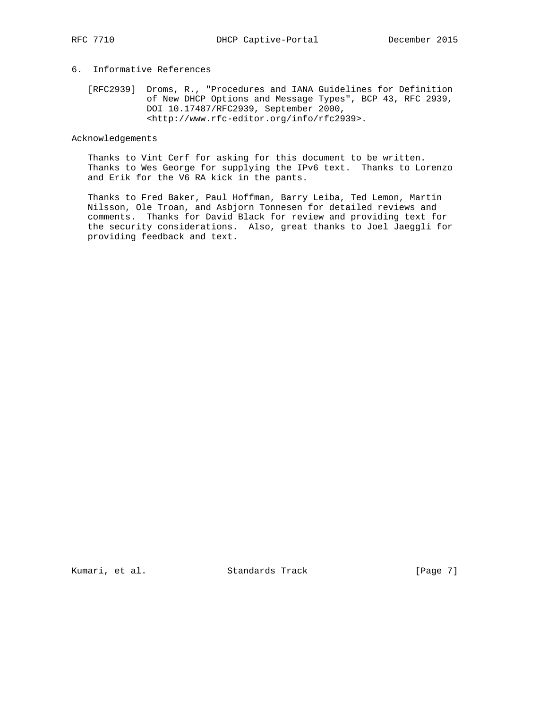# 6. Informative References

 [RFC2939] Droms, R., "Procedures and IANA Guidelines for Definition of New DHCP Options and Message Types", BCP 43, RFC 2939, DOI 10.17487/RFC2939, September 2000, <http://www.rfc-editor.org/info/rfc2939>.

Acknowledgements

 Thanks to Vint Cerf for asking for this document to be written. Thanks to Wes George for supplying the IPv6 text. Thanks to Lorenzo and Erik for the V6 RA kick in the pants.

 Thanks to Fred Baker, Paul Hoffman, Barry Leiba, Ted Lemon, Martin Nilsson, Ole Troan, and Asbjorn Tonnesen for detailed reviews and comments. Thanks for David Black for review and providing text for the security considerations. Also, great thanks to Joel Jaeggli for providing feedback and text.

Kumari, et al. Standards Track [Page 7]